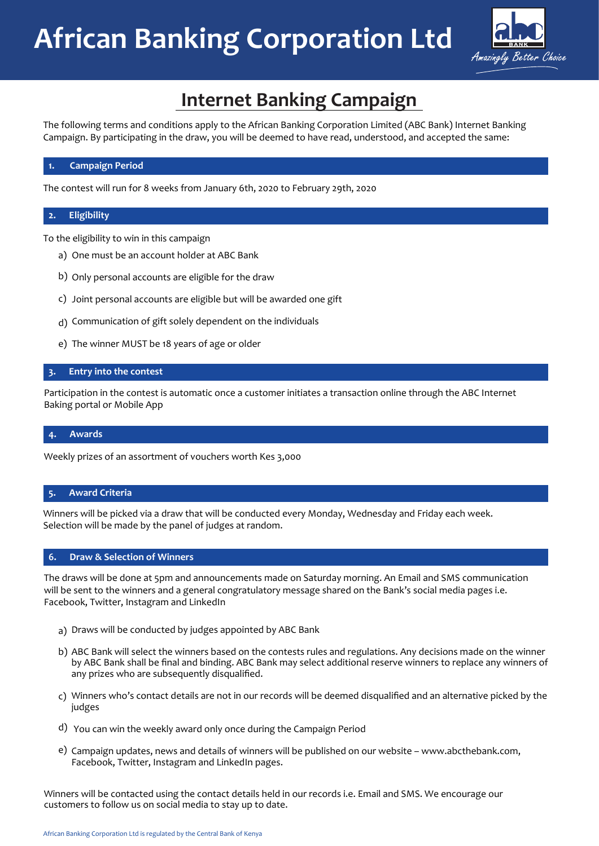**African Banking Corporation Ltd**



# **Internet Banking Campaign**

The following terms and conditions apply to the African Banking Corporation Limited (ABC Bank) Internet Banking Campaign. By participating in the draw, you will be deemed to have read, understood, and accepted the same:

## **1. Campaign Period**

The contest will run for 8 weeks from January 6th, 2020 to February 29th, 2020

### **2. Eligibility**

To the eligibility to win in this campaign

- a) One must be an account holder at ABC Bank
- b) Only personal accounts are eligible for the draw
- c) Joint personal accounts are eligible but will be awarded one gift
- Communication of gift solely dependent on the individuals d)
- e) The winner MUST be 18 years of age or older

## **3. Entry into the contest**

Participation in the contest is automatic once a customer initiates a transaction online through the ABC Internet Baking portal or Mobile App

#### **4. Awards**

Weekly prizes of an assortment of vouchers worth Kes 3,000

#### **5. Award Criteria**

Winners will be picked via a draw that will be conducted every Monday, Wednesday and Friday each week. Selection will be made by the panel of judges at random.

#### **6. Draw & Selection of Winners**

The draws will be done at 5pm and announcements made on Saturday morning. An Email and SMS communication will be sent to the winners and a general congratulatory message shared on the Bank's social media pages i.e. Facebook, Twitter, Instagram and LinkedIn

- a) Draws will be conducted by judges appointed by ABC Bank
- b) ABC Bank will select the winners based on the contests rules and regulations. Any decisions made on the winner by ABC Bank shall be final and binding. ABC Bank may select additional reserve winners to replace any winners of any prizes who are subsequently disqualified.
- Winners who's contact details are not in our records will be deemed disqualified and an alternative picked by the c) judges
- You can win the weekly award only once during the Campaign Period d)
- e) Campaign updates, news and details of winners will be published on our website www.abcthebank.com, Facebook, Twitter, Instagram and LinkedIn pages.

Winners will be contacted using the contact details held in our records i.e. Email and SMS. We encourage our customers to follow us on social media to stay up to date.